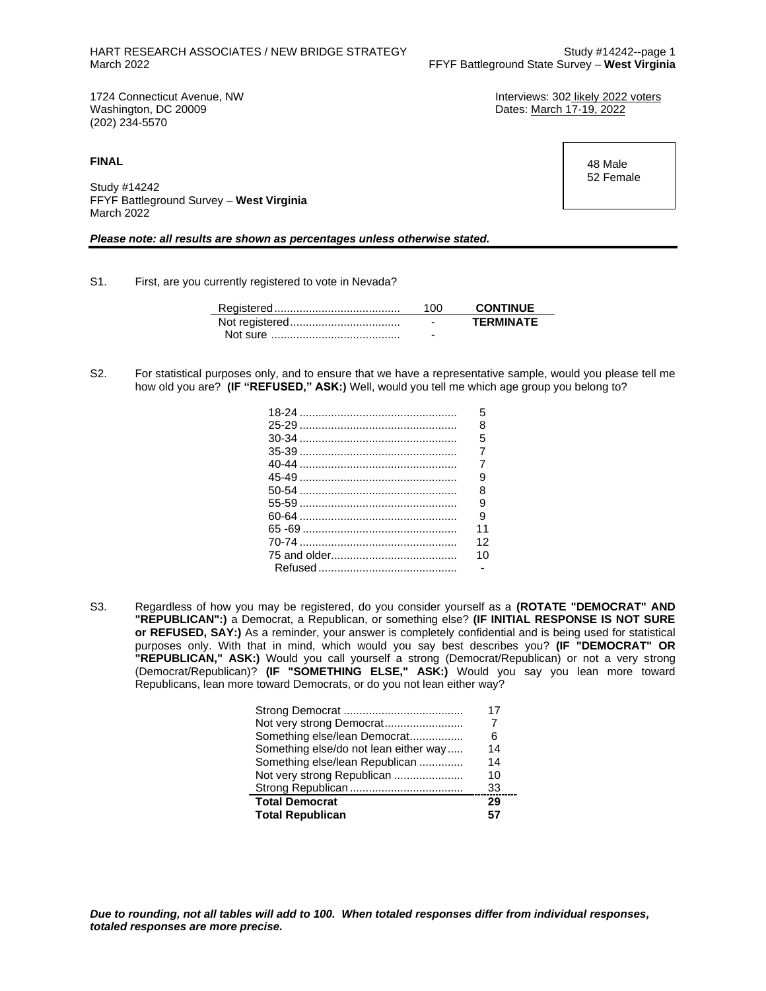Dates: March 17-19, 2022

1724 Connecticut Avenue, NW **Interviews: 302** likely 2022 voters<br>
Washington, DC 20009<br>
Unterviews: 302 likely 2022 (202) 234-5570

**FINAL**

Study #14242 FFYF Battleground Survey – **West Virginia** March 2022

#### *Please note: all results are shown as percentages unless otherwise stated.*

S1. First, are you currently registered to vote in Nevada?

| 100                      | <b>CONTINUE</b>  |
|--------------------------|------------------|
| $\overline{\phantom{0}}$ | <b>TFRMINATF</b> |
| -                        |                  |

S2. For statistical purposes only, and to ensure that we have a representative sample, would you please tell me how old you are? **(IF "REFUSED," ASK:)** Well, would you tell me which age group you belong to?

| 5              |
|----------------|
| 8              |
| 5              |
| $\overline{7}$ |
| $\overline{7}$ |
| 9              |
| 8              |
| 9              |
| 9              |
| 11             |
| 12             |
| 10             |
|                |

S3. Regardless of how you may be registered, do you consider yourself as a **(ROTATE "DEMOCRAT" AND "REPUBLICAN":)** a Democrat, a Republican, or something else? **(IF INITIAL RESPONSE IS NOT SURE or REFUSED, SAY:)** As a reminder, your answer is completely confidential and is being used for statistical purposes only. With that in mind, which would you say best describes you? **(IF "DEMOCRAT" OR "REPUBLICAN," ASK:)** Would you call yourself a strong (Democrat/Republican) or not a very strong (Democrat/Republican)? **(IF "SOMETHING ELSE," ASK:)** Would you say you lean more toward Republicans, lean more toward Democrats, or do you not lean either way?

|                                       | 17 |
|---------------------------------------|----|
|                                       |    |
| Something else/lean Democrat          | 6  |
| Something else/do not lean either way | 14 |
| Something else/lean Republican        | 14 |
| Not very strong Republican            | 10 |
|                                       | 33 |
| <b>Total Democrat</b>                 | 29 |
| <b>Total Republican</b>               |    |

 48 Male 52 Female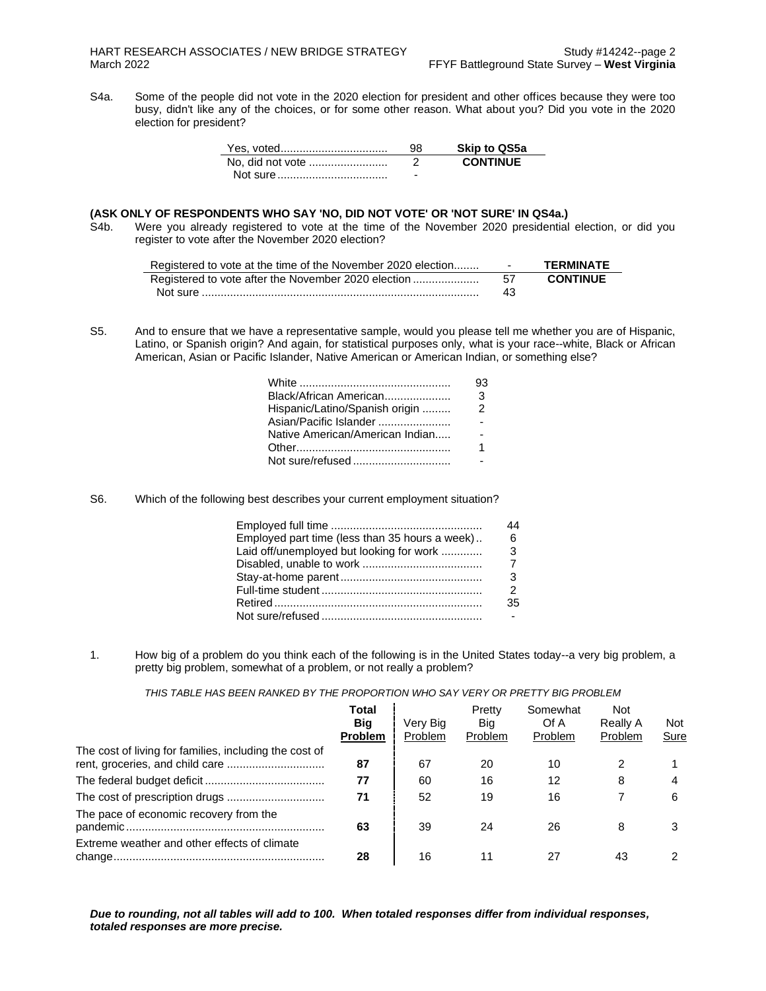S4a. Some of the people did not vote in the 2020 election for president and other offices because they were too busy, didn't like any of the choices, or for some other reason. What about you? Did you vote in the 2020 election for president?

|                  | 98 | <b>Skip to QS5a</b> |
|------------------|----|---------------------|
| No, did not vote |    | <b>CONTINUE</b>     |
|                  | -  |                     |

### **(ASK ONLY OF RESPONDENTS WHO SAY 'NO, DID NOT VOTE' OR 'NOT SURE' IN QS4a.)**

S4b. Were you already registered to vote at the time of the November 2020 presidential election, or did you register to vote after the November 2020 election?

| Registered to vote at the time of the November 2020 election | $\sim$ $\sim$ | <b>TFRMINATF</b> |
|--------------------------------------------------------------|---------------|------------------|
| Registered to vote after the November 2020 election          | -57           | <b>CONTINUE</b>  |
|                                                              | 43            |                  |

S5. And to ensure that we have a representative sample, would you please tell me whether you are of Hispanic, Latino, or Spanish origin? And again, for statistical purposes only, what is your race--white, Black or African American, Asian or Pacific Islander, Native American or American Indian, or something else?

|                                 | 93            |
|---------------------------------|---------------|
| Black/African American          | 3             |
| Hispanic/Latino/Spanish origin  | $\mathcal{P}$ |
| Asian/Pacific Islander          |               |
| Native American/American Indian |               |
|                                 |               |
| Not sure/refused                |               |

S6. Which of the following best describes your current employment situation?

| Employed part time (less than 35 hours a week) | 6                          |
|------------------------------------------------|----------------------------|
| Laid off/unemployed but looking for work       | $\overline{\phantom{a}}$ 3 |
|                                                |                            |
|                                                | -3                         |
|                                                | $\mathcal{P}$              |
|                                                | 35                         |
|                                                |                            |

1. How big of a problem do you think each of the following is in the United States today--a very big problem, a pretty big problem, somewhat of a problem, or not really a problem?

*THIS TABLE HAS BEEN RANKED BY THE PROPORTION WHO SAY VERY OR PRETTY BIG PROBLEM*

|                                                                                           | Total<br>Big<br><b>Problem</b> | Very Big<br>Problem | Pretty<br>Big<br>Problem | Somewhat<br>Of A<br>Problem | <b>Not</b><br>Really A<br><b>Problem</b> | Not<br>Sure |
|-------------------------------------------------------------------------------------------|--------------------------------|---------------------|--------------------------|-----------------------------|------------------------------------------|-------------|
| The cost of living for families, including the cost of<br>rent, groceries, and child care | 87                             | 67                  | 20                       | 10                          |                                          |             |
|                                                                                           | 77                             | 60                  | 16                       | 12                          | 8                                        |             |
|                                                                                           | 71                             | 52                  | 19                       | 16                          |                                          | 6           |
| The pace of economic recovery from the                                                    | 63                             | 39                  | 24                       | 26                          | 8                                        |             |
| Extreme weather and other effects of climate                                              | 28                             | 16                  | 11                       | 27                          | 43                                       |             |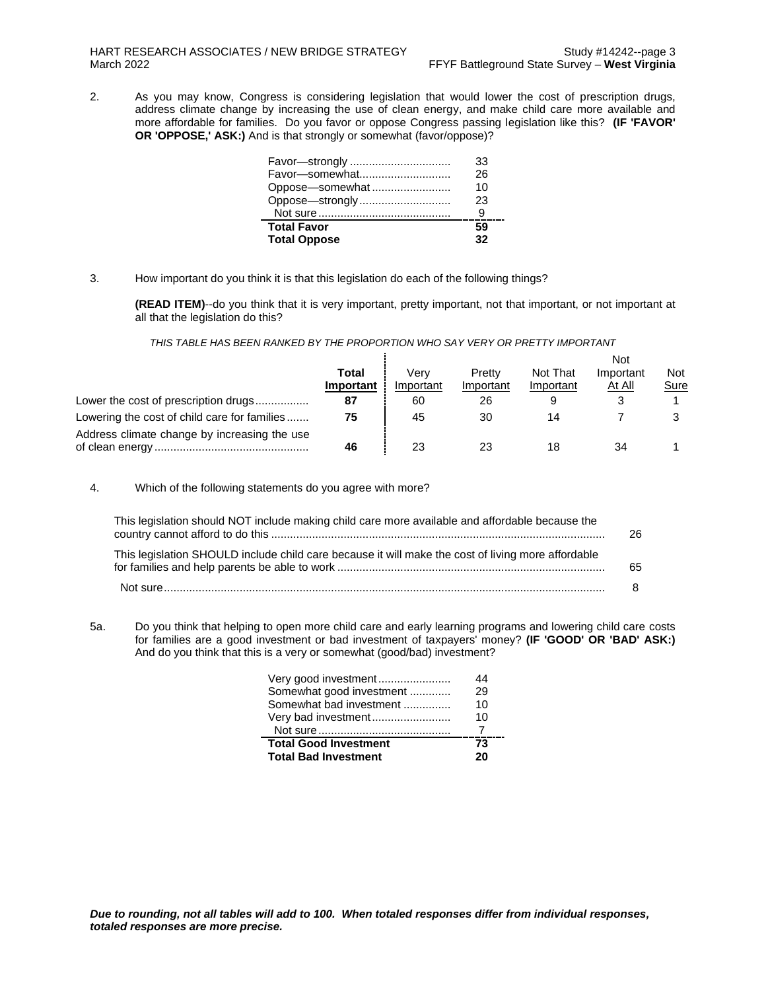2. As you may know, Congress is considering legislation that would lower the cost of prescription drugs, address climate change by increasing the use of clean energy, and make child care more available and more affordable for families. Do you favor or oppose Congress passing legislation like this? **(IF 'FAVOR' OR 'OPPOSE,' ASK:)** And is that strongly or somewhat (favor/oppose)?

| Favor-strongly      | 33 |
|---------------------|----|
| Favor-somewhat      | 26 |
| Oppose-somewhat     | 10 |
| Oppose-strongly     | 23 |
|                     |    |
| <b>Total Favor</b>  | 59 |
| <b>Total Oppose</b> | 32 |

3. How important do you think it is that this legislation do each of the following things?

**(READ ITEM)**--do you think that it is very important, pretty important, not that important, or not important at all that the legislation do this?

#### *THIS TABLE HAS BEEN RANKED BY THE PROPORTION WHO SAY VERY OR PRETTY IMPORTANT*

|                                              |           |           |           |           | <b>Not</b> |      |
|----------------------------------------------|-----------|-----------|-----------|-----------|------------|------|
|                                              | Total     | Verv      | Pretty    | Not That  | Important  | Not  |
|                                              | Important | Important | Important | Important | At All     | Sure |
| Lower the cost of prescription drugs         | 87        | 60        | 26        |           |            |      |
| Lowering the cost of child care for families | 75        | 45        | 30        | 14        |            |      |
| Address climate change by increasing the use | 46        | 23        | 23        | 18        | 34         |      |

4. Which of the following statements do you agree with more?

| This legislation should NOT include making child care more available and affordable because the    |    |
|----------------------------------------------------------------------------------------------------|----|
| This legislation SHOULD include child care because it will make the cost of living more affordable | 65 |
|                                                                                                    |    |

5a. Do you think that helping to open more child care and early learning programs and lowering child care costs for families are a good investment or bad investment of taxpayers' money? **(IF 'GOOD' OR 'BAD' ASK:)** And do you think that this is a very or somewhat (good/bad) investment?

| Very good investment         | 44 |
|------------------------------|----|
| Somewhat good investment     | 29 |
| Somewhat bad investment      | 10 |
| Very bad investment          | 10 |
|                              |    |
| <b>Total Good Investment</b> | 73 |
| <b>Total Bad Investment</b>  | 20 |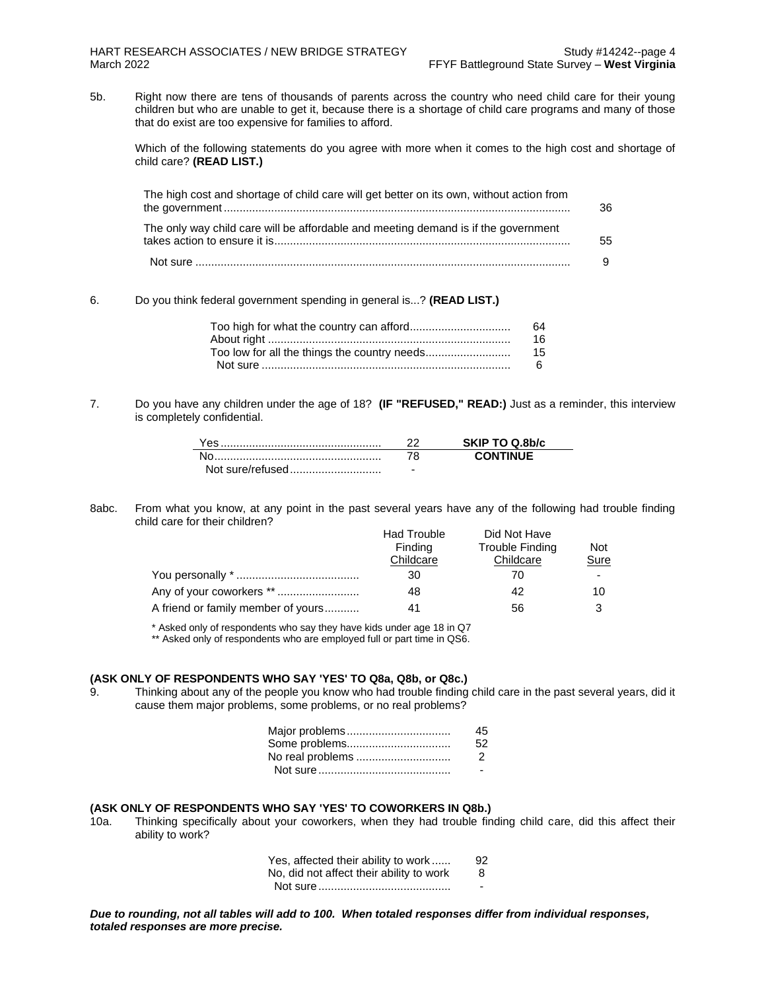5b. Right now there are tens of thousands of parents across the country who need child care for their young children but who are unable to get it, because there is a shortage of child care programs and many of those that do exist are too expensive for families to afford.

Which of the following statements do you agree with more when it comes to the high cost and shortage of child care? **(READ LIST.)**

| The high cost and shortage of child care will get better on its own, without action from | 36 |
|------------------------------------------------------------------------------------------|----|
| The only way child care will be affordable and meeting demand is if the government       | 55 |
|                                                                                          |    |

6. Do you think federal government spending in general is...? **(READ LIST.)**

|                                              | 64 |
|----------------------------------------------|----|
|                                              | 16 |
| Too low for all the things the country needs | 15 |
|                                              | 6. |

7. Do you have any children under the age of 18? **(IF "REFUSED," READ:)** Just as a reminder, this interview is completely confidential.

| ′es              |                          | SKIP TO Q.8b/c  |
|------------------|--------------------------|-----------------|
|                  |                          | <b>CONTINUE</b> |
| Not sure/refused | $\overline{\phantom{a}}$ |                 |

8abc. From what you know, at any point in the past several years have any of the following had trouble finding child care for their children?

|                                    | <b>Had Trouble</b> | Did Not Have    |            |
|------------------------------------|--------------------|-----------------|------------|
|                                    | Finding            | Trouble Finding | <b>Not</b> |
|                                    | Childcare          | Childcare       | Sure       |
|                                    | 30                 | 70              | ۰          |
| Any of your coworkers **           | 48                 | 42              | 10         |
| A friend or family member of yours | 41                 | 56              | ີ          |

\* Asked only of respondents who say they have kids under age 18 in Q7

\*\* Asked only of respondents who are employed full or part time in QS6.

#### **(ASK ONLY OF RESPONDENTS WHO SAY 'YES' TO Q8a, Q8b, or Q8c.)**

9. Thinking about any of the people you know who had trouble finding child care in the past several years, did it cause them major problems, some problems, or no real problems?

| Major problems   | 45            |
|------------------|---------------|
| Some problems    | 52.           |
| No real problems | $\mathcal{P}$ |
|                  |               |

#### **(ASK ONLY OF RESPONDENTS WHO SAY 'YES' TO COWORKERS IN Q8b.)**

10a. Thinking specifically about your coworkers, when they had trouble finding child care, did this affect their ability to work?

| Yes, affected their ability to work      | 92 |
|------------------------------------------|----|
| No, did not affect their ability to work | -8 |
|                                          | -  |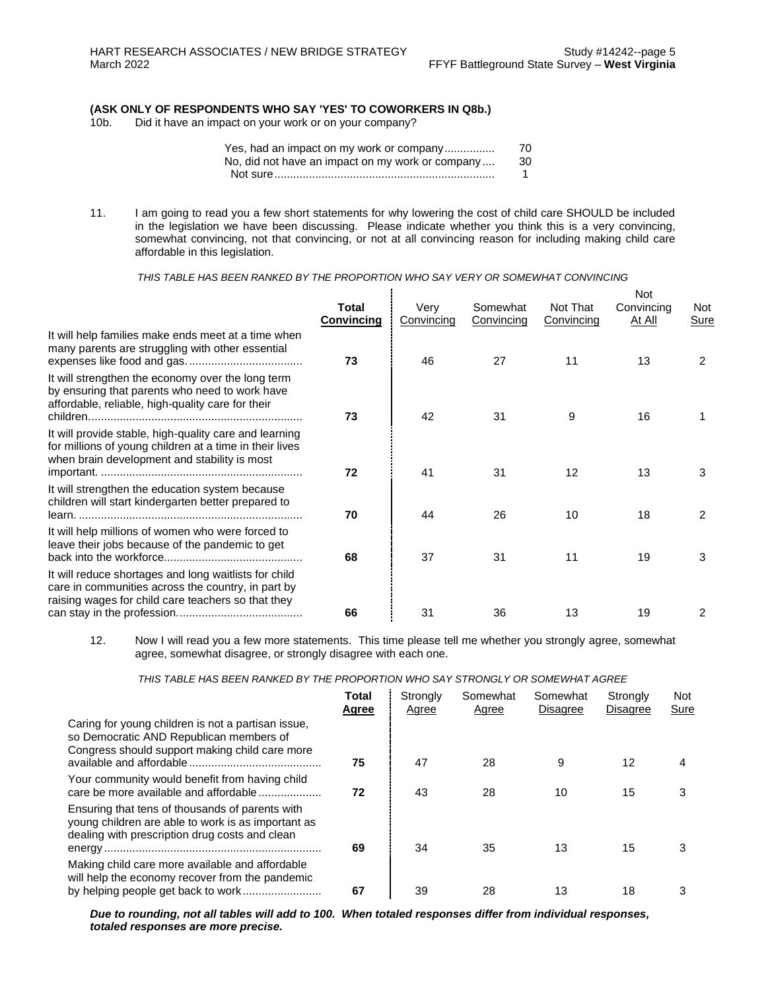## **(ASK ONLY OF RESPONDENTS WHO SAY 'YES' TO COWORKERS IN Q8b.)**

Did it have an impact on your work or on your company?

| Yes, had an impact on my work or company         | 70 |
|--------------------------------------------------|----|
| No, did not have an impact on my work or company | 30 |
|                                                  |    |

11. I am going to read you a few short statements for why lowering the cost of child care SHOULD be included in the legislation we have been discussing. Please indicate whether you think this is a very convincing, somewhat convincing, not that convincing, or not at all convincing reason for including making child care affordable in this legislation.

*THIS TABLE HAS BEEN RANKED BY THE PROPORTION WHO SAY VERY OR SOMEWHAT CONVINCING*

|                                                                                                                                                                   | Total<br>Convincing | Very<br>Convincing | Somewhat<br>Convincing | Not That<br>Convincing | <b>Not</b><br>Convincing<br>At All | Not.<br>Sure |
|-------------------------------------------------------------------------------------------------------------------------------------------------------------------|---------------------|--------------------|------------------------|------------------------|------------------------------------|--------------|
| It will help families make ends meet at a time when<br>many parents are struggling with other essential                                                           | 73                  | 46                 | 27                     | 11                     | 13                                 | 2            |
| It will strengthen the economy over the long term<br>by ensuring that parents who need to work have<br>affordable, reliable, high-quality care for their          | 73                  | 42                 | 31                     | 9                      | 16                                 |              |
| It will provide stable, high-quality care and learning<br>for millions of young children at a time in their lives<br>when brain development and stability is most | 72                  | 41                 | 31                     | 12                     | 13                                 | 3            |
| It will strengthen the education system because<br>children will start kindergarten better prepared to                                                            | 70                  | 44                 | 26                     | 10                     | 18                                 | 2            |
| It will help millions of women who were forced to<br>leave their jobs because of the pandemic to get                                                              | 68                  | 37                 | 31                     | 11                     | 19                                 | 3            |
| It will reduce shortages and long waitlists for child<br>care in communities across the country, in part by<br>raising wages for child care teachers so that they | 66                  | 31                 | 36                     | 13                     | 19                                 | 2            |
|                                                                                                                                                                   |                     |                    |                        |                        |                                    |              |

12. Now I will read you a few more statements. This time please tell me whether you strongly agree, somewhat agree, somewhat disagree, or strongly disagree with each one.

*THIS TABLE HAS BEEN RANKED BY THE PROPORTION WHO SAY STRONGLY OR SOMEWHAT AGREE*

|                                                                                                                                                         | Total<br>Agree | Strongly<br>Agree | Somewhat<br>Agree | Somewhat<br><b>Disagree</b> | Strongly<br><b>Disagree</b> | <b>Not</b><br>Sure |
|---------------------------------------------------------------------------------------------------------------------------------------------------------|----------------|-------------------|-------------------|-----------------------------|-----------------------------|--------------------|
| Caring for young children is not a partisan issue,<br>so Democratic AND Republican members of<br>Congress should support making child care more         | 75             | 47                | 28                | 9                           | 12                          | 4                  |
| Your community would benefit from having child<br>care be more available and affordable                                                                 | 72             | 43                | 28                | 10                          | 15                          |                    |
| Ensuring that tens of thousands of parents with<br>young children are able to work is as important as<br>dealing with prescription drug costs and clean | 69             | 34                | 35                | 13                          | 15                          | 3                  |
| Making child care more available and affordable<br>will help the economy recover from the pandemic                                                      | 67             | 39                | 28                | 13                          | 18                          | 3                  |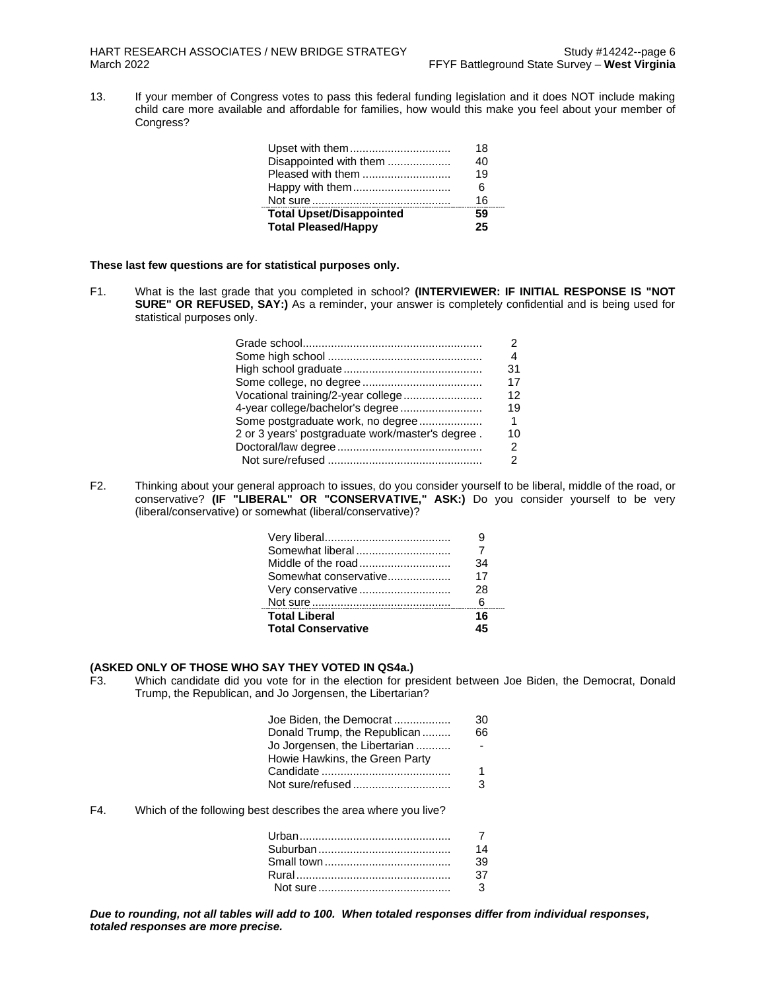13. If your member of Congress votes to pass this federal funding legislation and it does NOT include making child care more available and affordable for families, how would this make you feel about your member of Congress?

| <b>Total Pleased/Happy</b>      | 25 |
|---------------------------------|----|
| <b>Total Upset/Disappointed</b> | 59 |
|                                 | 16 |
| Happy with them                 | 6  |
| Pleased with them               | 19 |
| Disappointed with them          | 40 |
| Upset with them                 | 18 |

**These last few questions are for statistical purposes only.**

F1. What is the last grade that you completed in school? **(INTERVIEWER: IF INITIAL RESPONSE IS "NOT SURE" OR REFUSED, SAY:)** As a reminder, your answer is completely confidential and is being used for statistical purposes only.

|                                                  | 4           |
|--------------------------------------------------|-------------|
|                                                  | 31          |
|                                                  | 17          |
| Vocational training/2-year college               | 12          |
| 4-year college/bachelor's degree                 | 19          |
| Some postgraduate work, no degree                | $\mathbf 1$ |
| 2 or 3 years' postgraduate work/master's degree. | 10          |
|                                                  |             |
|                                                  |             |
|                                                  |             |

F2. Thinking about your general approach to issues, do you consider yourself to be liberal, middle of the road, or conservative? **(IF "LIBERAL" OR "CONSERVATIVE," ASK:)** Do you consider yourself to be very (liberal/conservative) or somewhat (liberal/conservative)?

| Somewhat liberal          |    |
|---------------------------|----|
|                           | 34 |
| Somewhat conservative     | 17 |
| Very conservative         | 28 |
|                           | 6  |
| <b>Total Liberal</b>      | 16 |
| <b>Total Conservative</b> |    |

# **(ASKED ONLY OF THOSE WHO SAY THEY VOTED IN QS4a.)**

Which candidate did you vote for in the election for president between Joe Biden, the Democrat, Donald Trump, the Republican, and Jo Jorgensen, the Libertarian?

| Joe Biden, the Democrat        | 30 |
|--------------------------------|----|
| Donald Trump, the Republican   | 66 |
| Jo Jorgensen, the Libertarian  |    |
| Howie Hawkins, the Green Party |    |
|                                |    |
|                                | ર  |
|                                |    |

F4. Which of the following best describes the area where you live?

| 7  |
|----|
| 14 |
| 39 |
| 37 |
| 3  |